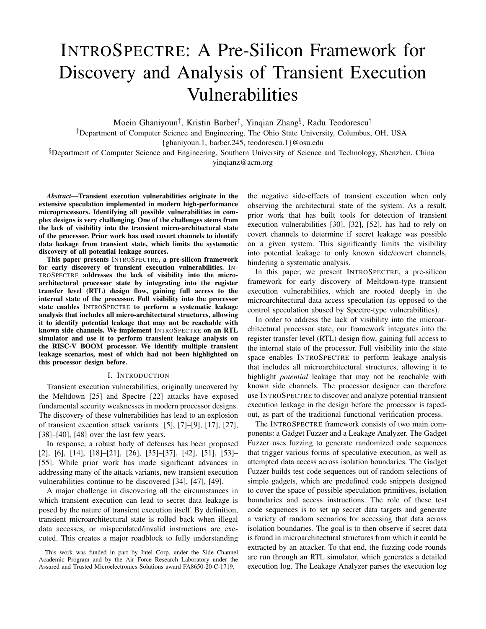# INTROSPECTRE: A Pre-Silicon Framework for Discovery and Analysis of Transient Execution Vulnerabilities

Moein Ghaniyoun† , Kristin Barber† , Yinqian Zhang§ , Radu Teodorescu†

†Department of Computer Science and Engineering, The Ohio State University, Columbus, OH, USA

{ghaniyoun.1, barber.245, teodorescu.1}@osu.edu

§Department of Computer Science and Engineering, Southern University of Science and Technology, Shenzhen, China yinqianz@acm.org

*Abstract*—Transient execution vulnerabilities originate in the extensive speculation implemented in modern high-performance microprocessors. Identifying all possible vulnerabilities in complex designs is very challenging. One of the challenges stems from the lack of visibility into the transient micro-architectural state of the processor. Prior work has used covert channels to identify data leakage from transient state, which limits the systematic discovery of all potential leakage sources.

This paper presents INTROSPECTRE, a pre-silicon framework for early discovery of transient execution vulnerabilities. IN-TROSPECTRE addresses the lack of visibility into the microarchitectural processor state by integrating into the register transfer level (RTL) design flow, gaining full access to the internal state of the processor. Full visibility into the processor state enables INTROSPECTRE to perform a systematic leakage analysis that includes all micro-architectural structures, allowing it to identify potential leakage that may not be reachable with known side channels. We implement INTROSPECTRE on an RTL simulator and use it to perform transient leakage analysis on the RISC-V BOOM processor. We identify multiple transient leakage scenarios, most of which had not been highlighted on this processor design before.

#### I. INTRODUCTION

Transient execution vulnerabilities, originally uncovered by the Meltdown [25] and Spectre [22] attacks have exposed fundamental security weaknesses in modern processor designs. The discovery of these vulnerabilities has lead to an explosion of transient execution attack variants [5], [7]–[9], [17], [27], [38]–[40], [48] over the last few years.

In response, a robust body of defenses has been proposed [2], [6], [14], [18]–[21], [26], [35]–[37], [42], [51], [53]– [55]. While prior work has made significant advances in addressing many of the attack variants, new transient execution vulnerabilities continue to be discovered [34], [47], [49].

A major challenge in discovering all the circumstances in which transient execution can lead to secret data leakage is posed by the nature of transient execution itself. By definition, transient microarchitectural state is rolled back when illegal data accesses, or mispeculated/invalid instructions are executed. This creates a major roadblock to fully understanding

the negative side-effects of transient execution when only observing the architectural state of the system. As a result, prior work that has built tools for detection of transient execution vulnerabilities [30], [32], [52], has had to rely on covert channels to determine if secret leakage was possible on a given system. This significantly limits the visibility into potential leakage to only known side/covert channels, hindering a systematic analysis.

In this paper, we present INTROSPECTRE, a pre-silicon framework for early discovery of Meltdown-type transient execution vulnerabilities, which are rooted deeply in the microarchitectural data access speculation (as opposed to the control speculation abused by Spectre-type vulnerabilities).

In order to address the lack of visibility into the microarchitectural processor state, our framework integrates into the register transfer level (RTL) design flow, gaining full access to the internal state of the processor. Full visibility into the state space enables INTROSPECTRE to perform leakage analysis that includes all microarchitectural structures, allowing it to highlight *potential* leakage that may not be reachable with known side channels. The processor designer can therefore use INTROSPECTRE to discover and analyze potential transient execution leakage in the design before the processor is tapedout, as part of the traditional functional verification process.

The INTROSPECTRE framework consists of two main components: a Gadget Fuzzer and a Leakage Analyzer. The Gadget Fuzzer uses fuzzing to generate randomized code sequences that trigger various forms of speculative execution, as well as attempted data access across isolation boundaries. The Gadget Fuzzer builds test code sequences out of random selections of simple gadgets, which are predefined code snippets designed to cover the space of possible speculation primitives, isolation boundaries and access instructions. The role of these test code sequences is to set up secret data targets and generate a variety of random scenarios for accessing that data across isolation boundaries. The goal is to then observe if secret data is found in microarchitectural structures from which it could be extracted by an attacker. To that end, the fuzzing code rounds are run through an RTL simulator, which generates a detailed execution log. The Leakage Analyzer parses the execution log

This work was funded in part by Intel Corp. under the Side Channel Academic Program and by the Air Force Research Laboratory under the Assured and Trusted Microelectronics Solutions award FA8650-20-C-1719.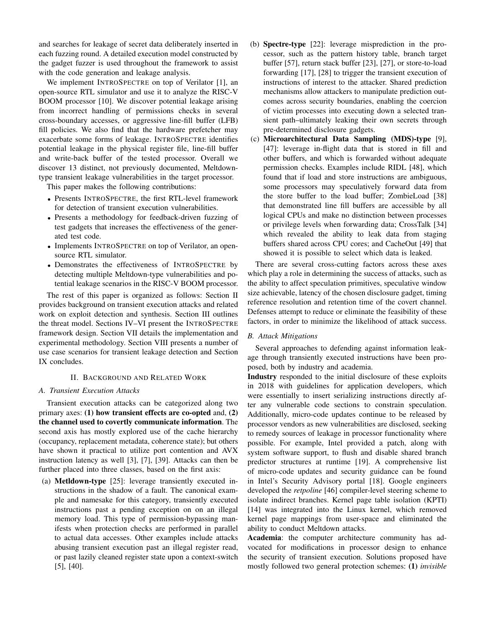and searches for leakage of secret data deliberately inserted in each fuzzing round. A detailed execution model constructed by the gadget fuzzer is used throughout the framework to assist with the code generation and leakage analysis.

We implement INTROSPECTRE on top of Verilator [1], an open-source RTL simulator and use it to analyze the RISC-V BOOM processor [10]. We discover potential leakage arising from incorrect handling of permissions checks in several cross-boundary accesses, or aggressive line-fill buffer (LFB) fill policies. We also find that the hardware prefetcher may exacerbate some forms of leakage. INTROSPECTRE identifies potential leakage in the physical register file, line-fill buffer and write-back buffer of the tested processor. Overall we discover 13 distinct, not previously documented, Meltdowntype transient leakage vulnerabilities in the target processor.

This paper makes the following contributions:

- Presents INTROSPECTRE, the first RTL-level framework for detection of transient execution vulnerabilities.
- Presents a methodology for feedback-driven fuzzing of test gadgets that increases the effectiveness of the generated test code.
- Implements INTROSPECTRE on top of Verilator, an opensource RTL simulator.
- Demonstrates the effectiveness of INTROSPECTRE by detecting multiple Meltdown-type vulnerabilities and potential leakage scenarios in the RISC-V BOOM processor.

The rest of this paper is organized as follows: Section II provides background on transient execution attacks and related work on exploit detection and synthesis. Section III outlines the threat model. Sections IV–VI present the INTROSPECTRE framework design. Section VII details the implementation and experimental methodology. Section VIII presents a number of use case scenarios for transient leakage detection and Section IX concludes.

#### II. BACKGROUND AND RELATED WORK

#### *A. Transient Execution Attacks*

Transient execution attacks can be categorized along two primary axes: (1) how transient effects are co-opted and, (2) the channel used to covertly communicate information. The second axis has mostly explored use of the cache hierarchy (occupancy, replacement metadata, coherence state); but others have shown it practical to utilize port contention and AVX instruction latency as well [3], [7], [39]. Attacks can then be further placed into three classes, based on the first axis:

(a) Metldown-type [25]: leverage transiently executed instructions in the shadow of a fault. The canonical example and namesake for this category, transiently executed instructions past a pending exception on on an illegal memory load. This type of permission-bypassing manifests when protection checks are performed in parallel to actual data accesses. Other examples include attacks abusing transient execution past an illegal register read, or past lazily cleaned register state upon a context-switch [5], [40].

- (b) Spectre-type [22]: leverage misprediction in the processor, such as the pattern history table, branch target buffer [57], return stack buffer [23], [27], or store-to-load forwarding [17], [28] to trigger the transient execution of instructions of interest to the attacker. Shared prediction mechanisms allow attackers to manipulate prediction outcomes across security boundaries, enabling the coercion of victim processes into executing down a selected transient path–ultimately leaking their own secrets through pre-determined disclosure gadgets.
- (c) Microarchitectural Data Sampling (MDS)-type [9], [47]: leverage in-flight data that is stored in fill and other buffers, and which is forwarded without adequate permission checks. Examples include RIDL [48], which found that if load and store instructions are ambiguous, some processors may speculatively forward data from the store buffer to the load buffer; ZombieLoad [38] that demonstrated line fill buffers are accessible by all logical CPUs and make no distinction between processes or privilege levels when forwarding data; CrossTalk [34] which revealed the ability to leak data from staging buffers shared across CPU cores; and CacheOut [49] that showed it is possible to select which data is leaked.

There are several cross-cutting factors across these axes which play a role in determining the success of attacks, such as the ability to affect speculation primitives, speculative window size achievable, latency of the chosen disclosure gadget, timing reference resolution and retention time of the covert channel. Defenses attempt to reduce or eliminate the feasibility of these factors, in order to minimize the likelihood of attack success.

## *B. Attack Mitigations*

Several approaches to defending against information leakage through transiently executed instructions have been proposed, both by industry and academia.

Industry responded to the initial disclosure of these exploits in 2018 with guidelines for application developers, which were essentially to insert serializing instructions directly after any vulnerable code sections to constrain speculation. Additionally, micro-code updates continue to be released by processor vendors as new vulnerabilities are disclosed, seeking to remedy sources of leakage in processor functionality where possible. For example, Intel provided a patch, along with system software support, to flush and disable shared branch predictor structures at runtime [19]. A comprehensive list of micro-code updates and security guidance can be found in Intel's Security Advisory portal [18]. Google engineers developed the *retpoline* [46] compiler-level steering scheme to isolate indirect branches. Kernel page table isolation (KPTI) [14] was integrated into the Linux kernel, which removed kernel page mappings from user-space and eliminated the ability to conduct Meltdown attacks.

Academia: the computer architecture community has advocated for modifications in processor design to enhance the security of transient execution. Solutions proposed have mostly followed two general protection schemes: (1) *invisible*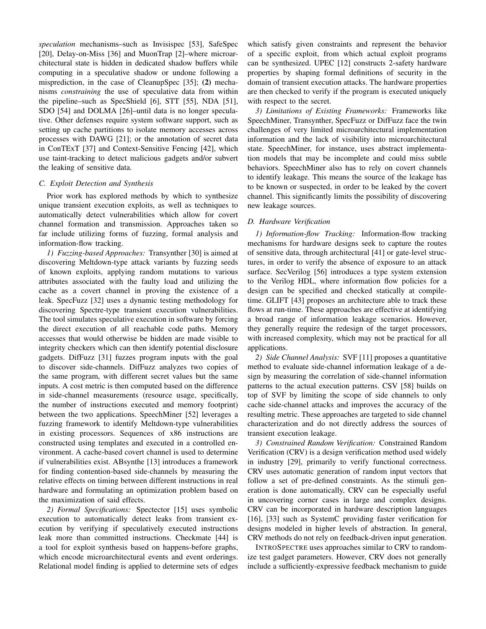*speculation* mechanisms–such as Invisispec [53], SafeSpec [20], Delay-on-Miss [36] and MuonTrap [2]–where microarchitectural state is hidden in dedicated shadow buffers while computing in a speculative shadow or undone following a misprediction, in the case of CleanupSpec [35]; (2) mechanisms *constraining* the use of speculative data from within the pipeline–such as SpecShield [6], STT [55], NDA [51], SDO [54] and DOLMA [26]–until data is no longer speculative. Other defenses require system software support, such as setting up cache partitions to isolate memory accesses across processes with DAWG [21]; or the annotation of secret data in ConTExT [37] and Context-Sensitive Fencing [42], which use taint-tracking to detect malicious gadgets and/or subvert the leaking of sensitive data.

#### *C. Exploit Detection and Synthesis*

Prior work has explored methods by which to synthesize unique transient execution exploits, as well as techniques to automatically detect vulnerabilities which allow for covert channel formation and transmission. Approaches taken so far include utilizing forms of fuzzing, formal analysis and information-flow tracking.

*1) Fuzzing-based Approaches:* Transynther [30] is aimed at discovering Meltdown-type attack variants by fuzzing seeds of known exploits, applying random mutations to various attributes associated with the faulty load and utilizing the cache as a covert channel in proving the existence of a leak. SpecFuzz [32] uses a dynamic testing methodology for discovering Spectre-type transient execution vulnerabilities. The tool simulates speculative execution in software by forcing the direct execution of all reachable code paths. Memory accesses that would otherwise be hidden are made visible to integrity checkers which can then identify potential disclosure gadgets. DifFuzz [31] fuzzes program inputs with the goal to discover side-channels. DifFuzz analyzes two copies of the same program, with different secret values but the same inputs. A cost metric is then computed based on the difference in side-channel measurements (resource usage, specifically, the number of instructions executed and memory footprint) between the two applications. SpeechMiner [52] leverages a fuzzing framework to identify Meltdown-type vulnerabilities in existing processors. Sequences of x86 instructions are constructed using templates and executed in a controlled environment. A cache-based covert channel is used to determine if vulnerabilities exist. ABsynthe [13] introduces a framework for finding contention-based side-channels by measuring the relative effects on timing between different instructions in real hardware and formulating an optimization problem based on the maximization of said effects.

*2) Formal Specifications:* Spectector [15] uses symbolic execution to automatically detect leaks from transient execution by verifying if speculatively executed instructions leak more than committed instructions. Checkmate [44] is a tool for exploit synthesis based on happens-before graphs, which encode microarchitectural events and event orderings. Relational model finding is applied to determine sets of edges which satisfy given constraints and represent the behavior of a specific exploit, from which actual exploit programs can be synthesized. UPEC [12] constructs 2-safety hardware properties by shaping formal definitions of security in the domain of transient execution attacks. The hardware properties are then checked to verify if the program is executed uniquely with respect to the secret.

*3) Limitations of Existing Frameworks:* Frameworks like SpeechMiner, Transynther, SpecFuzz or DifFuzz face the twin challenges of very limited microarchitectural implementation information and the lack of visibility into microarchitectural state. SpeechMiner, for instance, uses abstract implementation models that may be incomplete and could miss subtle behaviors. SpeechMiner also has to rely on covert channels to identify leakage. This means the source of the leakage has to be known or suspected, in order to be leaked by the covert channel. This significantly limits the possibility of discovering new leakage sources.

# *D. Hardware Verification*

*1) Information-flow Tracking:* Information-flow tracking mechanisms for hardware designs seek to capture the routes of sensitive data, through architectural [41] or gate-level structures, in order to verify the absence of exposure to an attack surface. SecVerilog [56] introduces a type system extension to the Verilog HDL, where information flow policies for a design can be specified and checked statically at compiletime. GLIFT [43] proposes an architecture able to track these flows at run-time. These approaches are effective at identifying a broad range of information leakage scenarios. However, they generally require the redesign of the target processors, with increased complexity, which may not be practical for all applications.

*2) Side Channel Analysis:* SVF [11] proposes a quantitative method to evaluate side-channel information leakage of a design by measuring the correlation of side-channel information patterns to the actual execution patterns. CSV [58] builds on top of SVF by limiting the scope of side channels to only cache side-channel attacks and improves the accuracy of the resulting metric. These approaches are targeted to side channel characterization and do not directly address the sources of transient execution leakage.

*3) Constrained Random Verification:* Constrained Random Verification (CRV) is a design verification method used widely in industry [29], primarily to verify functional correctness. CRV uses automatic generation of random input vectors that follow a set of pre-defined constraints. As the stimuli generation is done automatically, CRV can be especially useful in uncovering corner cases in large and complex designs. CRV can be incorporated in hardware description languages [16], [33] such as SystemC providing faster verification for designs modeled in higher levels of abstraction. In general, CRV methods do not rely on feedback-driven input generation.

INTROSPECTRE uses approaches similar to CRV to randomize test gadget parameters. However, CRV does not generally include a sufficiently-expressive feedback mechanism to guide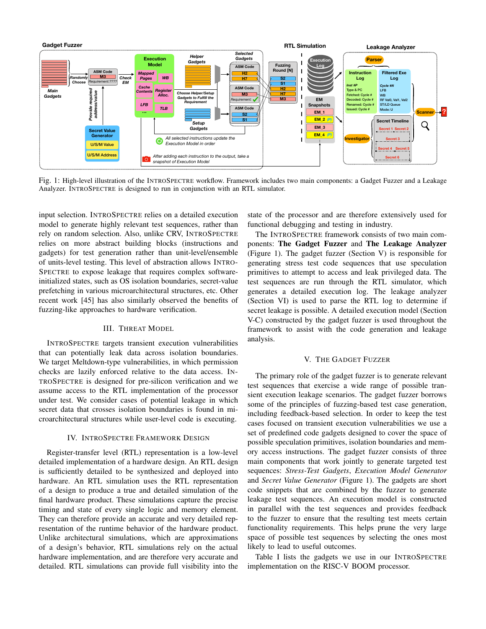

Fig. 1: High-level illustration of the INTROSPECTRE workflow. Framework includes two main components: a Gadget Fuzzer and a Leakage Analyzer. INTROSPECTRE is designed to run in conjunction with an RTL simulator.

input selection. INTROSPECTRE relies on a detailed execution model to generate highly relevant test sequences, rather than rely on random selection. Also, unlike CRV, INTROSPECTRE relies on more abstract building blocks (instructions and gadgets) for test generation rather than unit-level/ensemble of units-level testing. This level of abstraction allows INTRO-SPECTRE to expose leakage that requires complex softwareinitialized states, such as OS isolation boundaries, secret-value prefetching in various microarchitectural structures, etc. Other recent work [45] has also similarly observed the benefits of fuzzing-like approaches to hardware verification.

# III. THREAT MODEL

INTROSPECTRE targets transient execution vulnerabilities that can potentially leak data across isolation boundaries. We target Meltdown-type vulnerabilities, in which permission checks are lazily enforced relative to the data access. IN-TROSPECTRE is designed for pre-silicon verification and we assume access to the RTL implementation of the processor under test. We consider cases of potential leakage in which secret data that crosses isolation boundaries is found in microarchitectural structures while user-level code is executing.

#### IV. INTROSPECTRE FRAMEWORK DESIGN

Register-transfer level (RTL) representation is a low-level detailed implementation of a hardware design. An RTL design is sufficiently detailed to be synthesized and deployed into hardware. An RTL simulation uses the RTL representation of a design to produce a true and detailed simulation of the final hardware product. These simulations capture the precise timing and state of every single logic and memory element. They can therefore provide an accurate and very detailed representation of the runtime behavior of the hardware product. Unlike architectural simulations, which are approximations of a design's behavior, RTL simulations rely on the actual hardware implementation, and are therefore very accurate and detailed. RTL simulations can provide full visibility into the state of the processor and are therefore extensively used for functional debugging and testing in industry.

The INTROSPECTRE framework consists of two main components: The Gadget Fuzzer and The Leakage Analyzer (Figure 1). The gadget fuzzer (Section V) is responsible for generating stress test code sequences that use speculation primitives to attempt to access and leak privileged data. The test sequences are run through the RTL simulator, which generates a detailed execution log. The leakage analyzer (Section VI) is used to parse the RTL log to determine if secret leakage is possible. A detailed execution model (Section V-C) constructed by the gadget fuzzer is used throughout the framework to assist with the code generation and leakage analysis.

#### V. THE GADGET FUZZER

The primary role of the gadget fuzzer is to generate relevant test sequences that exercise a wide range of possible transient execution leakage scenarios. The gadget fuzzer borrows some of the principles of fuzzing-based test case generation, including feedback-based selection. In order to keep the test cases focused on transient execution vulnerabilities we use a set of predefined code gadgets designed to cover the space of possible speculation primitives, isolation boundaries and memory access instructions. The gadget fuzzer consists of three main components that work jointly to generate targeted test sequences: *Stress-Test Gadgets*, *Execution Model Generator* and *Secret Value Generator* (Figure 1). The gadgets are short code snippets that are combined by the fuzzer to generate leakage test sequences. An execution model is constructed in parallel with the test sequences and provides feedback to the fuzzer to ensure that the resulting test meets certain functionality requirements. This helps prune the very large space of possible test sequences by selecting the ones most likely to lead to useful outcomes.

Table I lists the gadgets we use in our INTROSPECTRE implementation on the RISC-V BOOM processor.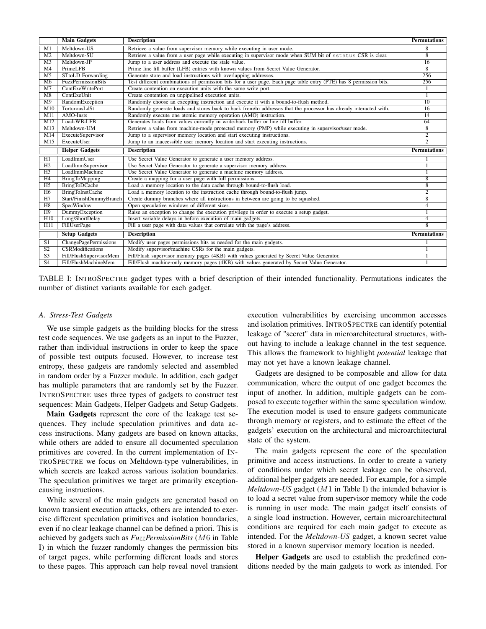|                 | <b>Main Gadgets</b>       | <b>Description</b>                                                                                                 | <b>Permutations</b> |
|-----------------|---------------------------|--------------------------------------------------------------------------------------------------------------------|---------------------|
| M1              | Meltdown-US               | Retrieve a value from supervisor memory while executing in user mode.                                              | 8                   |
| $\overline{M2}$ | Meltdown-SU               | Retrieve a value from a user page while executing in supervisor mode when SUM bit of sstatus CSR is clear.         | 8                   |
| $\overline{M3}$ | Meltdown-JP               | Jump to a user address and execute the stale value.                                                                | $\overline{16}$     |
| M <sub>4</sub>  | PrimeLFB                  | Prime line fill buffer (LFB) entries with known values from Secret Value Generator.                                | 8                   |
| M <sub>5</sub>  | <b>STtoLD</b> Forwarding  | Generate store and load instructions with overlapping addresses.                                                   | 256                 |
| M6              | <b>FuzzPermissionBits</b> | Test different combinations of permission bits for a user page. Each page table entry (PTE) has 8 permission bits. | 256                 |
| M <sub>7</sub>  | ContExeWritePort          | Create contention on execution units with the same write port.                                                     |                     |
| M8              | ContExeUnit               | Create contention on unpipelined execution units.                                                                  |                     |
| $\overline{M9}$ | RandomException           | Randomly choose an excepting instruction and execute it with a bound-to-flush method.                              | 10                  |
| M10             | TorturousLdSt             | Randomly generate loads and stores back to back from/to addresses that the processor has already interacted with.  | 16                  |
| M11             | AMO-Insts                 | Randomly execute one atomic memory operation (AMO) instruction.                                                    | 14                  |
| M12             | Load-WB-LFB               | Generates loads from values currently in write-back buffer or line fill buffer.                                    | 64                  |
| M13             | Meltdown-UM               | Retrieve a value from machine-mode protected memory (PMP) while executing in supervisor/user mode.                 | 8                   |
| M14             | ExecuteSupervisor         | Jump to a supervisor memory location and start executing instructions.                                             | $\overline{2}$      |
| M15             | ExecuteUser               | Jump to an inaccessible user memory location and start executing instructions.                                     | $\overline{2}$      |
|                 | <b>Helper Gadgets</b>     | <b>Description</b>                                                                                                 | <b>Permutations</b> |
| H1              | LoadImmUser               | Use Secret Value Generator to generate a user memory address.                                                      |                     |
| H2              | LoadImmSupervisor         | Use Secret Value Generator to generate a supervisor memory address.                                                |                     |
| H3              | LoadImmMachine            | Use Secret Value Generator to generate a machine memory address.                                                   |                     |
| H4              | <b>BringToMapping</b>     | Create a mapping for a user page with full permissions.                                                            | $\overline{8}$      |
| H <sub>5</sub>  | <b>BringToDCache</b>      | Load a memory location to the data cache through bound-to-flush load.                                              | 8                   |
| H6              | <b>BringToInstCache</b>   | Load a memory location to the instruction cache through bound-to-flush jump.                                       | $\overline{2}$      |
| H7              | Start/FinishDummyBranch   | Create dummy branches where all instructions in between are going to be squashed.                                  | $\overline{8}$      |
| H8              | SpecWindow                | Open speculative windows of different sizes.                                                                       | $\overline{4}$      |
| H9              | DummyException            | Raise an exception to change the execution privilege in order to execute a setup gadget.                           |                     |
| H <sub>10</sub> | Long/ShortDelay           | Insert variable delays in before execution of main gadgets.                                                        | 4                   |
| H11             | FillUserPage              | Fill a user page with data values that correlate with the page's address.                                          | 8                   |
|                 | <b>Setup Gadgets</b>      | <b>Description</b>                                                                                                 | <b>Permutations</b> |
| S1              | ChangePagePermissions     | Modify user pages permissions bits as needed for the main gadgets.                                                 |                     |
| $\overline{S2}$ | <b>CSRModifications</b>   | Modify supervisor/machine CSRs for the main gadgets.                                                               |                     |
| S <sub>3</sub>  | Fill/FlushSupervisorMem   | Fill/Flush supervisor memory pages (4KB) with values generated by Secret Value Generator.                          |                     |
| $\overline{S4}$ | Fill/FlushMachineMem      | Fill/Flush machine-only memory pages (4KB) with values generated by Secret Value Generator.                        |                     |

TABLE I: INTROSPECTRE gadget types with a brief description of their intended functionality. Permutations indicates the number of distinct variants available for each gadget.

## *A. Stress-Test Gadgets*

We use simple gadgets as the building blocks for the stress test code sequences. We use gadgets as an input to the Fuzzer, rather than individual instructions in order to keep the space of possible test outputs focused. However, to increase test entropy, these gadgets are randomly selected and assembled in random order by a Fuzzer module. In addition, each gadget has multiple parameters that are randomly set by the Fuzzer. INTROSPECTRE uses three types of gadgets to construct test sequences: Main Gadgets, Helper Gadgets and Setup Gadgets.

Main Gadgets represent the core of the leakage test sequences. They include speculation primitives and data access instructions. Many gadgets are based on known attacks, while others are added to ensure all documented speculation primitives are covered. In the current implementation of IN-TROSPECTRE we focus on Meltdown-type vulnerabilities, in which secrets are leaked across various isolation boundaries. The speculation primitives we target are primarily exceptioncausing instructions.

While several of the main gadgets are generated based on known transient execution attacks, others are intended to exercise different speculation primitives and isolation boundaries, even if no clear leakage channel can be defined a priori. This is achieved by gadgets such as *FuzzPermissionBits* (M6 in Table I) in which the fuzzer randomly changes the permission bits of target pages, while performing different loads and stores to these pages. This approach can help reveal novel transient

execution vulnerabilities by exercising uncommon accesses and isolation primitives. INTROSPECTRE can identify potential leakage of "secret" data in microarchitectural structures, without having to include a leakage channel in the test sequence. This allows the framework to highlight *potential* leakage that may not yet have a known leakage channel.

Gadgets are designed to be composable and allow for data communication, where the output of one gadget becomes the input of another. In addition, multiple gadgets can be composed to execute together within the same speculation window. The execution model is used to ensure gadgets communicate through memory or registers, and to estimate the effect of the gadgets' execution on the architectural and microarchitectural state of the system.

The main gadgets represent the core of the speculation primitive and access instructions. In order to create a variety of conditions under which secret leakage can be observed, additional helper gadgets are needed. For example, for a simple *Meltdown-US* gadget (M1 in Table I) the intended behavior is to load a secret value from supervisor memory while the code is running in user mode. The main gadget itself consists of a single load instruction. However, certain microarchitectural conditions are required for each main gadget to execute as intended. For the *Meltdown-US* gadget, a known secret value stored in a known supervisor memory location is needed.

Helper Gadgets are used to establish the predefined conditions needed by the main gadgets to work as intended. For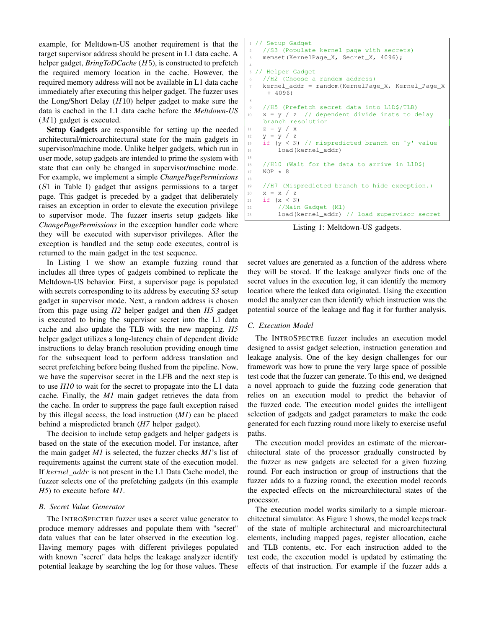example, for Meltdown-US another requirement is that the target supervisor address should be present in L1 data cache. A helper gadget, *BringToDCache* (H5), is constructed to prefetch the required memory location in the cache. However, the required memory address will not be available in L1 data cache immediately after executing this helper gadget. The fuzzer uses the Long/Short Delay  $(H10)$  helper gadget to make sure the data is cached in the L1 data cache before the *Meltdown-US*  $(M1)$  gadget is executed.

Setup Gadgets are responsible for setting up the needed architectural/microarchitectural state for the main gadgets in supervisor/machine mode. Unlike helper gadgets, which run in user mode, setup gadgets are intended to prime the system with state that can only be changed in supervisor/machine mode. For example, we implement a simple *ChangePagePermissions* (S1 in Table I) gadget that assigns permissions to a target page. This gadget is preceded by a gadget that deliberately raises an exception in order to elevate the execution privilege to supervisor mode. The fuzzer inserts setup gadgets like *ChangePagePermissions* in the exception handler code where they will be executed with supervisor privileges. After the exception is handled and the setup code executes, control is returned to the main gadget in the test sequence.

In Listing 1 we show an example fuzzing round that includes all three types of gadgets combined to replicate the Meltdown-US behavior. First, a supervisor page is populated with secrets corresponding to its address by executing *S3* setup gadget in supervisor mode. Next, a random address is chosen from this page using *H2* helper gadget and then *H5* gadget is executed to bring the supervisor secret into the L1 data cache and also update the TLB with the new mapping. *H5* helper gadget utilizes a long-latency chain of dependent divide instructions to delay branch resolution providing enough time for the subsequent load to perform address translation and secret prefetching before being flushed from the pipeline. Now, we have the supervisor secret in the LFB and the next step is to use *H10* to wait for the secret to propagate into the L1 data cache. Finally, the *M1* main gadget retrieves the data from the cache. In order to suppress the page fault exception raised by this illegal access, the load instruction (*M1*) can be placed behind a mispredicted branch (*H7* helper gadget).

The decision to include setup gadgets and helper gadgets is based on the state of the execution model. For instance, after the main gadget *M1* is selected, the fuzzer checks *M1*'s list of requirements against the current state of the execution model. If kernel\_addr is not present in the L1 Data Cache model, the fuzzer selects one of the prefetching gadgets (in this example *H5*) to execute before *M1*.

#### *B. Secret Value Generator*

The INTROSPECTRE fuzzer uses a secret value generator to produce memory addresses and populate them with "secret" data values that can be later observed in the execution log. Having memory pages with different privileges populated with known "secret" data helps the leakage analyzer identify potential leakage by searching the log for those values. These

```
// Setup Gadget
    //S3 (Populate kernel page with secrets)
   memset(KernelPage_X, Secret_X, 4096);
4
5 // Helper Gadget
    //H2 (Choose a random address)
   7 kernel_addr = random(KernelPage_X, Kernel_Page_X
     + 4096)
8
   //H5 (Prefetch secret data into L1D$/TLB)
   x = y / z // dependent divide insts to delay
    branch resolution
11 Z = V / X12 y = y / z13 if (y < N) // mispredicted branch on 'y' value
14 load(kernel_addr)
15
16 //H10 (Wait for the data to arrive in L1D$)
17 NOP * 8
18
19 //H7 (Mispredicted branch to hide exception.)
20 X = X / Z21 if (x < N)
22 //Main Gadget (M1)
23 load(kernel_addr) // load supervisor secret
```
Listing 1: Meltdown-US gadgets.

secret values are generated as a function of the address where they will be stored. If the leakage analyzer finds one of the secret values in the execution log, it can identify the memory location where the leaked data originated. Using the execution model the analyzer can then identify which instruction was the potential source of the leakage and flag it for further analysis.

# *C. Execution Model*

The INTROSPECTRE fuzzer includes an execution model designed to assist gadget selection, instruction generation and leakage analysis. One of the key design challenges for our framework was how to prune the very large space of possible test code that the fuzzer can generate. To this end, we designed a novel approach to guide the fuzzing code generation that relies on an execution model to predict the behavior of the fuzzed code. The execution model guides the intelligent selection of gadgets and gadget parameters to make the code generated for each fuzzing round more likely to exercise useful paths.

The execution model provides an estimate of the microarchitectural state of the processor gradually constructed by the fuzzer as new gadgets are selected for a given fuzzing round. For each instruction or group of instructions that the fuzzer adds to a fuzzing round, the execution model records the expected effects on the microarchitectural states of the processor.

The execution model works similarly to a simple microarchitectural simulator. As Figure 1 shows, the model keeps track of the state of multiple architectural and microarchitectural elements, including mapped pages, register allocation, cache and TLB contents, etc. For each instruction added to the test code, the execution model is updated by estimating the effects of that instruction. For example if the fuzzer adds a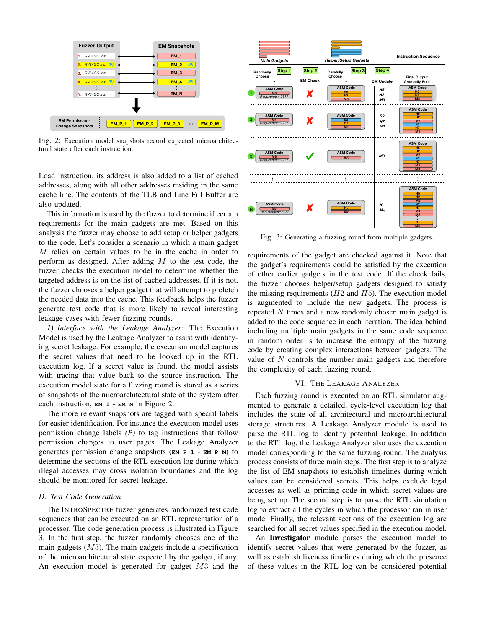

Fig. 2: Execution model snapshots record expected microarchitectural state after each instruction.

Load instruction, its address is also added to a list of cached addresses, along with all other addresses residing in the same cache line. The contents of the TLB and Line Fill Buffer are also updated.

This information is used by the fuzzer to determine if certain requirements for the main gadgets are met. Based on this analysis the fuzzer may choose to add setup or helper gadgets to the code. Let's consider a scenario in which a main gadget M relies on certain values to be in the cache in order to perform as designed. After adding  $M$  to the test code, the fuzzer checks the execution model to determine whether the targeted address is on the list of cached addresses. If it is not, the fuzzer chooses a helper gadget that will attempt to prefetch the needed data into the cache. This feedback helps the fuzzer generate test code that is more likely to reveal interesting leakage cases with fewer fuzzing rounds.

*1) Interface with the Leakage Analyzer:* The Execution Model is used by the Leakage Analyzer to assist with identifying secret leakage. For example, the execution model captures the secret values that need to be looked up in the RTL execution log. If a secret value is found, the model assists with tracing that value back to the source instruction. The execution model state for a fuzzing round is stored as a series of snapshots of the microarchitectural state of the system after each instruction, **EM\_1** - **EM\_N** in Figure 2.

The more relevant snapshots are tagged with special labels for easier identification. For instance the execution model uses permission change labels *(P)* to tag instructions that follow permission changes to user pages. The Leakage Analyzer generates permission change snapshots (**EM\_P\_1** - **EM\_P\_M**) to determine the sections of the RTL execution log during which illegal accesses may cross isolation boundaries and the log should be monitored for secret leakage.

# *D. Test Code Generation*

The INTROSPECTRE fuzzer generates randomized test code sequences that can be executed on an RTL representation of a processor. The code generation process is illustrated in Figure 3. In the first step, the fuzzer randomly chooses one of the main gadgets  $(M3)$ . The main gadgets include a specification of the microarchitectural state expected by the gadget, if any. An execution model is generated for gadget M3 and the



Fig. 3: Generating a fuzzing round from multiple gadgets.

requirements of the gadget are checked against it. Note that the gadget's requirements could be satisfied by the execution of other earlier gadgets in the test code. If the check fails, the fuzzer chooses helper/setup gadgets designed to satisfy the missing requirements  $(H2 \text{ and } H5)$ . The execution model is augmented to include the new gadgets. The process is repeated N times and a new randomly chosen main gadget is added to the code sequence in each iteration. The idea behind including multiple main gadgets in the same code sequence in random order is to increase the entropy of the fuzzing code by creating complex interactions between gadgets. The value of N controls the number main gadgets and therefore the complexity of each fuzzing round.

#### VI. THE LEAKAGE ANALYZER

Each fuzzing round is executed on an RTL simulator augmented to generate a detailed, cycle-level execution log that includes the state of all architectural and microarchitectural storage structures. A Leakage Analyzer module is used to parse the RTL log to identify potential leakage. In addition to the RTL log, the Leakage Analyzer also uses the execution model corresponding to the same fuzzing round. The analysis process consists of three main steps. The first step is to analyze the list of EM snapshots to establish timelines during which values can be considered secrets. This helps exclude legal accesses as well as priming code in which secret values are being set up. The second step is to parse the RTL simulation log to extract all the cycles in which the processor ran in user mode. Finally, the relevant sections of the execution log are searched for all secret values specified in the execution model.

An Investigator module parses the execution model to identify secret values that were generated by the fuzzer, as well as establish liveness timelines during which the presence of these values in the RTL log can be considered potential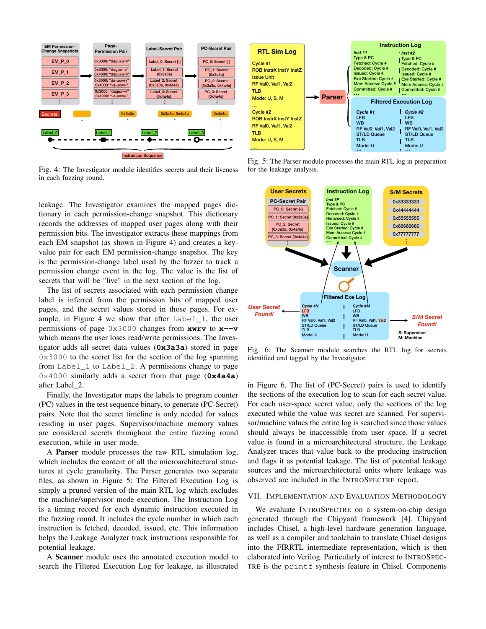

Fig. 4: The Investigator module identifies secrets and their liveness in each fuzzing round.

leakage. The Investigator examines the mapped pages dictionary in each permission-change snapshot. This dictionary records the addresses of mapped user pages along with their permission bits. The investigator extracts these mappings from each EM snapshot (as shown in Figure 4) and creates a keyvalue pair for each EM permission-change snapshot. The key is the permission-change label used by the fuzzer to track a permission change event in the log. The value is the list of secrets that will be "live" in the next section of the log.

The list of secrets associated with each permission change label is inferred from the permission bits of mapped user pages, and the secret values stored in those pages. For example, in Figure 4 we show that after Label\_1, the user permissions of page 0x3000 changes from **xwrv** to **x--v** which means the user loses read/write permissions. The Investigator adds all secret data values (**0x3a3a**) stored in page 0x3000 to the secret list for the section of the log spanning from Label\_1 to Label\_2. A permissions change to page 0x4000 similarly adds a secret from that page (**0x4a4a**) after Label\_2.

Finally, the Investigator maps the labels to program counter (PC) values in the test sequence binary, to generate (PC-Secret) pairs. Note that the secret timeline is only needed for values residing in user pages. Supervisor/machine memory values are considered secrets throughout the entire fuzzing round execution, while in user mode.

A Parser module processes the raw RTL simulation log, which includes the content of all the microarchitectural structures at cycle granularity. The Parser generates two separate files, as shown in Figure 5: The Filtered Execution Log is simply a pruned version of the main RTL log which excludes the machine/supervisor mode execution. The Instruction Log is a timing record for each dynamic instruction executed in the fuzzing round. It includes the cycle number in which each instruction is fetched, decoded, issued, etc. This information helps the Leakage Analyzer track instructions responsible for potential leakage.

A Scanner module uses the annotated execution model to search the Filtered Execution Log for leakage, as illustrated



Fig. 5: The Parser module processes the main RTL log in preparation for the leakage analysis.



Fig. 6: The Scanner module searches the RTL log for secrets identified and tagged by the Investigator.

in Figure 6. The list of (PC-Secret) pairs is used to identify the sections of the execution log to scan for each secret value. For each user-space secret value, only the sections of the log executed while the value was secret are scanned. For supervisor/machine values the entire log is searched since those values should always be inaccessible from user space. If a secret value is found in a microarchitectural structure, the Leakage Analyzer traces that value back to the producing instruction and flags it as potential leakage. The list of potential leakage sources and the microarchitectural units where leakage was observed are included in the INTROSPECTRE report.

#### VII. IMPLEMENTATION AND EVALUATION METHODOLOGY

We evaluate INTROSPECTRE on a system-on-chip design generated through the Chipyard framework [4]. Chipyard includes Chisel, a high-level hardware generation language, as well as a compiler and toolchain to translate Chisel designs into the FIRRTL intermediate representation, which is then elaborated into Verilog. Particularly of interest to INTROSPEC-TRE is the printf synthesis feature in Chisel. Components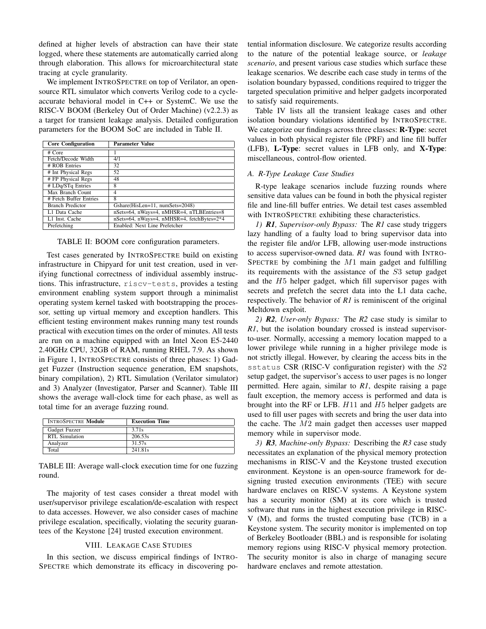defined at higher levels of abstraction can have their state logged, where these statements are automatically carried along through elaboration. This allows for microarchitectural state tracing at cycle granularity.

We implement INTROSPECTRE on top of Verilator, an opensource RTL simulator which converts Verilog code to a cycleaccurate behavioral model in C++ or SystemC. We use the RISC-V BOOM (Berkeley Out of Order Machine) (v2.2.3) as a target for transient leakage analysis. Detailed configuration parameters for the BOOM SoC are included in Table II.

| <b>Core Configuration</b> | <b>Parameter Value</b>                     |  |  |  |  |  |  |  |
|---------------------------|--------------------------------------------|--|--|--|--|--|--|--|
| # Core                    |                                            |  |  |  |  |  |  |  |
| Fetch/Decode Width        | 4/1                                        |  |  |  |  |  |  |  |
| # ROB Entries             | 32                                         |  |  |  |  |  |  |  |
| # Int Physical Regs       | 52                                         |  |  |  |  |  |  |  |
| # FP Physical Regs        | 48                                         |  |  |  |  |  |  |  |
| # LDq/STq Entries         | 8                                          |  |  |  |  |  |  |  |
| Max Branch Count          | $\overline{4}$                             |  |  |  |  |  |  |  |
| # Fetch Buffer Entries    | 8                                          |  |  |  |  |  |  |  |
| <b>Branch Predictor</b>   | Gshare(HisLen=11, numSets=2048)            |  |  |  |  |  |  |  |
| L1 Data Cache             | nSets=64, nWays=4, nMHSR=4, nTLBEntries=8  |  |  |  |  |  |  |  |
| L1 Inst. Cache            | nSets=64, nWays=4, nMHSR=4, fetchBytes=2*4 |  |  |  |  |  |  |  |
| Prefetching               | Enabled: Next Line Prefetcher              |  |  |  |  |  |  |  |

TABLE II: BOOM core configuration parameters.

Test cases generated by INTROSPECTRE build on existing infrastructure in Chipyard for unit test creation, used in verifying functional correctness of individual assembly instructions. This infrastructure, riscv-tests, provides a testing environment enabling system support through a minimalist operating system kernel tasked with bootstrapping the processor, setting up virtual memory and exception handlers. This efficient testing environment makes running many test rounds practical with execution times on the order of minutes. All tests are run on a machine equipped with an Intel Xeon E5-2440 2.40GHz CPU, 32GB of RAM, running RHEL 7.9. As shown in Figure 1, INTROSPECTRE consists of three phases: 1) Gadget Fuzzer (Instruction sequence generation, EM snapshots, binary compilation), 2) RTL Simulation (Verilator simulator) and 3) Analyzer (Investigator, Parser and Scanner). Table III shows the average wall-clock time for each phase, as well as total time for an average fuzzing round.

| <b>INTROSPECTRE Module</b> | <b>Execution Time</b> |  |  |  |  |  |  |
|----------------------------|-----------------------|--|--|--|--|--|--|
| Gadget Fuzzer              | 3.71s                 |  |  |  |  |  |  |
| RTL Simulation             | 206.53s               |  |  |  |  |  |  |
| Analyzer                   | 31.57s                |  |  |  |  |  |  |
| Total                      | 241.81s               |  |  |  |  |  |  |

TABLE III: Average wall-clock execution time for one fuzzing round.

The majority of test cases consider a threat model with user/supervisor privilege escalation/de-escalation with respect to data accesses. However, we also consider cases of machine privilege escalation, specifically, violating the security guarantees of the Keystone [24] trusted execution environment.

# VIII. LEAKAGE CASE STUDIES

In this section, we discuss empirical findings of INTRO-SPECTRE which demonstrate its efficacy in discovering po-

tential information disclosure. We categorize results according to the nature of the potential leakage source, or *leakage scenario*, and present various case studies which surface these leakage scenarios. We describe each case study in terms of the isolation boundary bypassed, conditions required to trigger the targeted speculation primitive and helper gadgets incorporated to satisfy said requirements.

Table IV lists all the transient leakage cases and other isolation boundary violations identified by INTROSPECTRE. We categorize our findings across three classes: **R-Type**: secret values in both physical register file (PRF) and line fill buffer (LFB), L-Type: secret values in LFB only, and X-Type: miscellaneous, control-flow oriented.

# *A. R-Type Leakage Case Studies*

R-type leakage scenarios include fuzzing rounds where sensitive data values can be found in both the physical register file and line-fill buffer entries. We detail test cases assembled with INTROSPECTRE exhibiting these characteristics.

*1) R1, Supervisor-only Bypass:* The *R1* case study triggers lazy handling of a faulty load to bring supervisor data into the register file and/or LFB, allowing user-mode instructions to access supervisor-owned data. *R1* was found with INTRO-SPECTRE by combining the  $M1$  main gadget and fulfilling its requirements with the assistance of the S3 setup gadget and the H5 helper gadget, which fill supervisor pages with secrets and prefetch the secret data into the L1 data cache, respectively. The behavior of *R1* is reminiscent of the original Meltdown exploit.

*2) R2, User-only Bypass:* The *R2* case study is similar to *R1*, but the isolation boundary crossed is instead supervisorto-user. Normally, accessing a memory location mapped to a lower privilege while running in a higher privilege mode is not strictly illegal. However, by clearing the access bits in the sstatus CSR (RISC-V configuration register) with the S2 setup gadget, the supervisor's access to user pages is no longer permitted. Here again, similar to *R1*, despite raising a page fault exception, the memory access is performed and data is brought into the RF or LFB. H11 and H5 helper gadgets are used to fill user pages with secrets and bring the user data into the cache. The M2 main gadget then accesses user mapped memory while in supervisor mode.

*3) R3, Machine-only Bypass:* Describing the *R3* case study necessitates an explanation of the physical memory protection mechanisms in RISC-V and the Keystone trusted execution environment. Keystone is an open-source framework for designing trusted execution environments (TEE) with secure hardware enclaves on RISC-V systems. A Keystone system has a security monitor (SM) at its core which is trusted software that runs in the highest execution privilege in RISC-V (M), and forms the trusted computing base (TCB) in a Keystone system. The security monitor is implemented on top of Berkeley Bootloader (BBL) and is responsible for isolating memory regions using RISC-V physical memory protection. The security monitor is also in charge of managing secure hardware enclaves and remote attestation.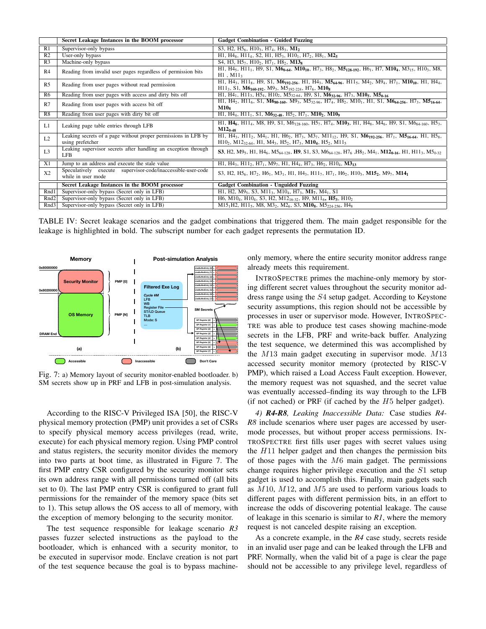|           | Secret Leakage Instances in the BOOM processor                                                                    | <b>Gadget Combination - Guided Fuzzing</b>                                                                                                                                                                                                                                                                                                                                                                                            |  |  |
|-----------|-------------------------------------------------------------------------------------------------------------------|---------------------------------------------------------------------------------------------------------------------------------------------------------------------------------------------------------------------------------------------------------------------------------------------------------------------------------------------------------------------------------------------------------------------------------------|--|--|
| R2        | R1   Supervisor-only bypass<br>User-only bypass                                                                   | S3, H2, H <sub>26</sub> , H <sub>103</sub> , H <sub>74</sub> , H <sub>83</sub> , M <sub>12</sub><br>$H1, H4_8, H11_4, S2, H1, H5_3, H10_1, H7_2, H8_1, M2_5$                                                                                                                                                                                                                                                                          |  |  |
| R3        | Machine-only bypass                                                                                               | S4, H3, H5 <sub>7</sub> , H10 <sub>2</sub> , H7 <sub>1</sub> , H8 <sub>2</sub> , M13 <sub>8</sub>                                                                                                                                                                                                                                                                                                                                     |  |  |
| R4        | Reading from invalid user pages regardless of permission bits                                                     | H1, H45, H11 <sub>1</sub> , H9, S1, M6 <sub>0-64</sub> , M10 <sub>10</sub> , H7 <sub>3</sub> , H8 <sub>2</sub> , M5 <sub>128-192</sub> , H6 <sub>1</sub> , H7, M10 <sub>4</sub> , M3 <sub>15</sub> , H10 <sub>3</sub> , M8,<br>H1, M11                                                                                                                                                                                                |  |  |
| R5        | Reading from user pages without read permission                                                                   | H1, H4 <sub>3</sub> , H11 <sub>8</sub> , H9, S1, M6 <sub>192-256</sub> , H1, H4 <sub>3</sub> , M5 <sub>64-96</sub> , H11 <sub>5</sub> , M4 <sub>2</sub> , M9 <sub>4</sub> , H7 <sub>1</sub> , M10 <sub>10</sub> , H1, H4 <sub>4</sub> ,<br>$H11_3$ , S1, M6 <sub>160-192</sub> , M9 <sub>3</sub> , M5 <sub>192-224</sub> , H7 <sub>6</sub> , M10 <sub>8</sub>                                                                         |  |  |
|           | R6 Reading from user pages with access and dirty bits off                                                         | H1, H4 <sub>1</sub> , H1 <sub>1</sub> , H5 <sub>4</sub> , H10 <sub>2</sub> , M5 <sub>32-64</sub> , H9, S1, M6 <sub>32-96</sub> , H7 <sub>3</sub> , M10 <sub>5</sub> , M5 <sub>0-16</sub><br>H1, H4 <sub>2</sub> , H11 <sub>6</sub> , S1, M6 <sub>80-160</sub> , M9 <sub>3</sub> , M5 <sub>32-96</sub> , H7 <sub>4</sub> , H8 <sub>2</sub> , M10 <sub>1</sub> , H1, S1, M6 <sub>64-256</sub> , H7 <sub>3</sub> , M5 <sub>16-64</sub> , |  |  |
| R7        | Reading from user pages with access bit off                                                                       | $\bf M10s$                                                                                                                                                                                                                                                                                                                                                                                                                            |  |  |
|           | R8 Reading from user pages with dirty bit off                                                                     | H1, H4 <sub>4</sub> , H1 <sub>1</sub> , S <sub>1</sub> , M <sub>632-48</sub> , H <sub>52</sub> , H <sub>71</sub> , M <sub>10</sub> <sub>2</sub> , M <sub>10</sub> <sub>9</sub>                                                                                                                                                                                                                                                        |  |  |
| L1        | Leaking page table entries through LFB                                                                            | H1, H46, H114, M8, H9, S1, M6 <sub>128-160</sub> , H5 <sub>7</sub> , H7 <sub>4</sub> , M10 <sub>3</sub> , H1, H4 <sub>8</sub> , M4 <sub>6</sub> , H9, S1, M6 <sub>64-160</sub> , H5 <sub>3</sub> ,<br>$M12_{0.48}$                                                                                                                                                                                                                    |  |  |
| L2        | using prefetcher                                                                                                  | Leaking secrets of a page without proper permissions in LFB by $H1, H43, H11, H45, H73, M37, M11_{12}$ , H9, S1, M6 <sub>192-256</sub> , H7 <sub>1</sub> , M5 <sub>16-64</sub> , H1, H5 <sub>8</sub> ,<br>$H10_2$ , M12 <sub>32-64</sub> , H1, M4 <sub>3</sub> , H5 <sub>2</sub> , H7 <sub>3</sub> , M10 <sub>4</sub> , H5 <sub>2</sub> , M11 <sub>5</sub>                                                                            |  |  |
| L3        | Leaking supervisor secrets after handling an exception through<br>LFB                                             | <b>S3</b> , H2, M9 <sub>5</sub> , H1, H4 <sub>6</sub> , M5 <sub>64-128</sub> , <b>H9</b> , S1, S3, M6 <sub>64-128</sub> , H7 <sub>6</sub> , H8 <sub>2</sub> , M4 <sub>1</sub> , M12 <sub>0-16</sub> , H1, H11 <sub>3</sub> , M5 <sub>0-32</sub>                                                                                                                                                                                       |  |  |
|           | X1 Jump to an address and execute the stale value<br>Speculatively execute supervisor-code/inaccessible-user-code | H1, H43, H112, H71, M97, H1, H44, H73, H62, H104, M313                                                                                                                                                                                                                                                                                                                                                                                |  |  |
| X2        | while in user mode                                                                                                | S3, H2, H5 <sub>6</sub> , H7 <sub>2</sub> , H <sub>61</sub> , M <sub>31</sub> , H <sub>1</sub> , H <sub>43</sub> , H <sub>11</sub> , H <sub>7</sub> , H <sub>71</sub> , H <sub>62</sub> , H <sub>103</sub> , M <sub>15<sub>2</sub>, M<sub>2</sub>, M<sub>14</sub></sub>                                                                                                                                                               |  |  |
|           | Secret Leakage Instances in the BOOM processor<br>Rnd1 Supervisor-only bypass (Secret only in LFB)                | <b>Gadget Combination - Unguided Fuzzing</b><br>H1, H2, M9 <sub>5</sub> , S3, M11 <sub>3</sub> , M10 <sub>4</sub> , H7 <sub>3</sub> , M1 <sub>7</sub> , M4 <sub>1</sub> , S1                                                                                                                                                                                                                                                          |  |  |
|           | Rnd2 Supervisor-only bypass (Secret only in LFB)                                                                  | H6, M10 <sub>4</sub> , H10 <sub>4</sub> , S3, H2, M12 <sub>16-32</sub> , H9, M11 <sub>6</sub> , H <sub>5</sub> <sub>3</sub> , H10                                                                                                                                                                                                                                                                                                     |  |  |
|           | Rnd3 Supervisor-only bypass (Secret only in LFB)                                                                  | M15 <sub>1</sub> H2, H11 <sub>5</sub> , M8, M3 <sub>2</sub> , M2 <sub>6</sub> , S3, M10 <sub>8</sub> , M5 <sub>224-256</sub> , H4 <sub>8</sub>                                                                                                                                                                                                                                                                                        |  |  |
|           |                                                                                                                   |                                                                                                                                                                                                                                                                                                                                                                                                                                       |  |  |
|           |                                                                                                                   | TABLE IV: Secret leakage scenarios and the gadget combinations that triggered them. The main gadget responsible for the<br>leakage is highlighted in bold. The subscript number for each gadget represents the permutation ID.                                                                                                                                                                                                        |  |  |
|           |                                                                                                                   |                                                                                                                                                                                                                                                                                                                                                                                                                                       |  |  |
|           |                                                                                                                   |                                                                                                                                                                                                                                                                                                                                                                                                                                       |  |  |
|           | <b>Post-simulation Analysis</b>                                                                                   | only memory, where the entire security monitor address range                                                                                                                                                                                                                                                                                                                                                                          |  |  |
| x80000000 | Memory                                                                                                            | already meets this requirement.                                                                                                                                                                                                                                                                                                                                                                                                       |  |  |
|           | LineBufferEntry [2]                                                                                               |                                                                                                                                                                                                                                                                                                                                                                                                                                       |  |  |
|           | <b>PMP</b> [0]<br><b>Security Monitor</b><br>ineBufferEntry [3] =                                                 | INTROSPECTRE primes the machine-only memory by stor-                                                                                                                                                                                                                                                                                                                                                                                  |  |  |
|           | LineBufferEntry [4] =<br>LineBufferEntry [5] =<br>Filtered Exe Log<br>$C$ vcle #N<br>neBufferEntry [6]            | ing different secret values throughout the security monitor ad-<br>dress range using the S4 setup gadget. According to Keystone                                                                                                                                                                                                                                                                                                       |  |  |
|           |                                                                                                                   |                                                                                                                                                                                                                                                                                                                                                                                                                                       |  |  |

TABLE IV: Secret leakage scenarios and the gadget combinations that triggered them. The main gadget responsible for the leakage is highlighted in bold. The subscript number for each gadget represents the permutation ID.



Fig. 7: a) Memory layout of security monitor-enabled bootloader. b) SM secrets show up in PRF and LFB in post-simulation analysis.

According to the RISC-V Privileged ISA [50], the RISC-V physical memory protection (PMP) unit provides a set of CSRs to specify physical memory access privileges (read, write, execute) for each physical memory region. Using PMP control and status registers, the security monitor divides the memory into two parts at boot time, as illustrated in Figure 7. The first PMP entry CSR configured by the security monitor sets its own address range with all permissions turned off (all bits set to 0). The last PMP entry CSR is configured to grant full permissions for the remainder of the memory space (bits set to 1). This setup allows the OS access to all of memory, with the exception of memory belonging to the security monitor.

The test sequence responsible for leakage scenario *R3* passes fuzzer selected instructions as the payload to the bootloader, which is enhanced with a security monitor, to be executed in supervisor mode. Enclave creation is not part of the test sequence because the goal is to bypass machine-

INTROSPECTRE primes the machine-only memory by storing different secret values throughout the security monitor address range using the S4 setup gadget. According to Keystone security assumptions, this region should not be accessible by processes in user or supervisor mode. However, INTROSPEC-TRE was able to produce test cases showing machine-mode secrets in the LFB, PRF and write-back buffer. Analyzing the test sequence, we determined this was accomplished by the M13 main gadget executing in supervisor mode. M13 accessed security monitor memory (protected by RISC-V PMP), which raised a Load Access Fault exception. However, the memory request was not squashed, and the secret value was eventually accessed–finding its way through to the LFB (if not cached) or PRF (if cached by the  $H5$  helper gadget).

*4) R4-R8, Leaking Inaccessible Data:* Case studies *R4- R8* include scenarios where user pages are accessed by usermode processes, but without proper access permissions. IN-TROSPECTRE first fills user pages with secret values using the H11 helper gadget and then changes the permission bits of those pages with the  $M6$  main gadget. The permissions change requires higher privilege execution and the S1 setup gadget is used to accomplish this. Finally, main gadgets such as M10, M12, and M5 are used to perform various loads to different pages with different permission bits, in an effort to increase the odds of discovering potential leakage. The cause of leakage in this scenario is similar to *R1*, where the memory request is not canceled despite raising an exception.

As a concrete example, in the *R4* case study, secrets reside in an invalid user page and can be leaked through the LFB and PRF. Normally, when the valid bit of a page is clear the page should not be accessible to any privilege level, regardless of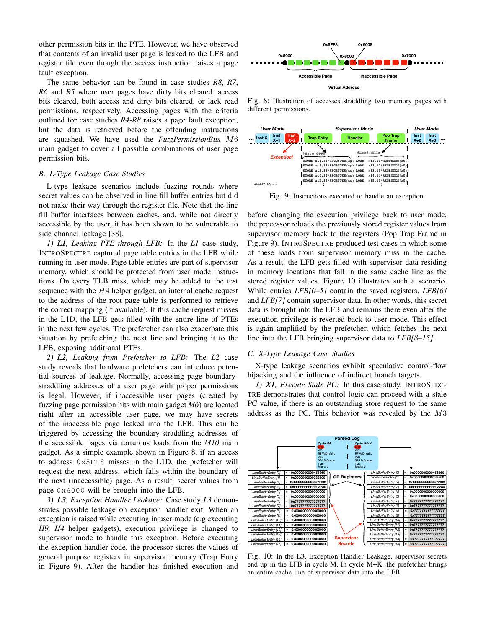other permission bits in the PTE. However, we have observed that contents of an invalid user page is leaked to the LFB and register file even though the access instruction raises a page fault exception.

The same behavior can be found in case studies *R8*, *R7*, *R6* and *R5* where user pages have dirty bits cleared, access bits cleared, both access and dirty bits cleared, or lack read permissions, respectively. Accessing pages with the criteria outlined for case studies *R4-R8* raises a page fault exception, but the data is retrieved before the offending instructions are squashed. We have used the *FuzzPermissionBits* M6 main gadget to cover all possible combinations of user page permission bits.

# *B. L-Type Leakage Case Studies*

L-type leakage scenarios include fuzzing rounds where secret values can be observed in line fill buffer entries but did not make their way through the register file. Note that the line fill buffer interfaces between caches, and, while not directly accessible by the user, it has been shown to be vulnerable to side channel leakage [38].

*1) L1, Leaking PTE through LFB:* In the *L1* case study, INTROSPECTRE captured page table entries in the LFB while running in user mode. Page table entries are part of supervisor memory, which should be protected from user mode instructions. On every TLB miss, which may be added to the test sequence with the  $H_4$  helper gadget, an internal cache request to the address of the root page table is performed to retrieve the correct mapping (if available). If this cache request misses in the L1D, the LFB gets filled with the entire line of PTEs in the next few cycles. The prefetcher can also exacerbate this situation by prefetching the next line and bringing it to the LFB, exposing additional PTEs.

*2) L2, Leaking from Prefetcher to LFB:* The *L2* case study reveals that hardware prefetchers can introduce potential sources of leakage. Normally, accessing page boundarystraddling addresses of a user page with proper permissions is legal. However, if inaccessible user pages (created by fuzzing page permission bits with main gadget *M6*) are located right after an accessible user page, we may have secrets of the inaccessible page leaked into the LFB. This can be triggered by accessing the boundary-straddling addresses of the accessible pages via torturous loads from the *M10* main gadget. As a simple example shown in Figure 8, if an access to address 0x5FF8 misses in the L1D, the prefetcher will request the next address, which falls within the boundary of the next (inaccessible) page. As a result, secret values from page 0x6000 will be brought into the LFB. **Line 1.0 Line 1.0 Line 1.0 Line 1.0 Line 1.0 Line 1.0 Line 1.0 Line 1.0 Line 1.0 Line 1.0 Line 1.0 Line 1.0 Line 1.0 Line 1.0 Line 1.0 Line 1.0 Line 1.0 Line 1.0 C C C C C C** *Line Constanting Constanting Constanting Constanting Constanting Constanting Constanting Constanting Constanting Constanting Constanting Constanting Constanting Constanting Constanting Constanting Constanting Constanting Line in fill to the control in the fill to the control in the time simple shown in Figure 8. At a result in the fig. 9. Instruction in the fill to the process of the same shown to be vulnerable to the processor relocation LineBulge Cast*<br> **LineBulge Cast and the Control of the UFC in the Control of the system case in the CNO that the line<br>** *LineBulge the* **FFFF. In the L***I* **case study, Figure 9). INTROSECTING<br>** *LineBulge LineBulge 1. The Line Conduct And While not directly* before changing the exemption and the processor reloads the propertion and the processor reloads the properties in the LI and supervisor memory back the properties in the LFB while of *L* page table entries in the LFB while of these loads from su<br>ge table entries are part of supervisor As a result, the LFB ge<br>protected from user mode instructed in memory locations the<br>last such any be added to the test *Line is* the term of the control of the control of the control of the control of the control of the control of the control of the metal in the entire in entire in entire is execution privilege is respective to the filled *LineBurge Constrainty and the CHT and the CHT and the DHT and the DHT Leakage Case are prefetcher to LFB: The L2 case C. X-Type Leakage Case are prefetcher to LFB: The L2 case C. X-Type Leakage Case are prefetchers can i LineBufferting* **Example 10** CHERENT THE LANDS (The USE of the USE of the USE of the USE of the USE of the USE of the USE of the USE of the USE of the USE of the USE of the USE of the USE of the USE of the USE of the USE raccessible user pages (created by TRE demonstrates that c<br>bits with main gadget  $M6$ ) are located PC value, if there is an<br>e user page, we may have secrets address as the PC. This<br>leaked into the LFB. This can be<br>he boun Fraction 11 and 12 and 12 and 12 and 12 and 12 and 12 and 12 and 12 and 12 and 12 and 12 and 12 and 12 and 12 and 12 and 12 and 12 and 12 and 12 and 12 and 12 and 12 and 12 and 12 and 12 and 12 and 12 and 12 and 12 and 12

*3) L3, Exception Handler Leakage:* Case study *L3* demonstrates possible leakage on exception handler exit. When an<br>exception is raised while executing in user mode (e.g executing<br>*H9*, *H4* helper gadgets), execution privilege is changed to<br>the differently [12] = 0x00000000000 exception is raised while executing in user mode (e.g executing *H9, H4* helper gadgets), execution privilege is changed to supervisor mode to handle this exception. Before executing *fferEntry [13]* **= 0x0000000000000000** the exception handler code, the processor stores the values of general purpose registers in supervisor memory (Trap Entry in Figure 9). After the handler has finished execution and dinedletter this exception. Before executing<br>code, the processor stores the values of<br>ers in supervisor memory (Trap Entry Fig. 10: In the **L3**, Exception and the handler has finished execution and and the LFB in cyclosity Fig. 10: In the L3, Exception 2.5 in supervisor memory (Trap Entry Fig. 10: In the L3, Exception 2.5 in supervisor memory (Trap Entry Fig. 10: In the LFB in cyclical execution and  $\frac{1}{2}$  end up in the LFB in cyclical e



Fig. 8: Illustration of accesses straddling two memory pages with different permissions.



Fig. 9: Instructions executed to handle an exception.

**STORE x11,11\*REGBYTES(sp) STORE ASSETT AND THE CONSERVANCE CONSERVANCE CONSERVANCE CONSERVANCE CONSERVANCE CONSERVANCE CONSERVANCE CONSERVANCE CONSERVANCE CONSERVANCE CONSERVANCE CONSERVANCE CONSERVANCE CONSERVANCE CONSERVANCE CONSERVANCE CONSERVA STORE 13,133\*REGBY 138, 137,13\*REGBY (137,13\*REGBY)**<br> **STORE CONSECT (28)** (138, 137,13\*REGBY) (The execution privilege back to user mode, and start-<br>
The execution privilege back to user mode, and start-<br>
SPECTRE produce **STORE AN EXAMPLE 1992 SET AN EXAMPLE 1993 SET AN EXAMPLE TO AN EXAMPLE THE CONSULTER POWER TO THE CONSULTER POWER (FOR THE POWER CONSULTER POWER CONSULTER POWER (FOR THE POWER CONSULTER POWER CONSULTER POWER (FOR THE SPEC** LOAD x11, 11-**REGITTES**(a0)<br>
LOAD x11, 12-REGITTES(a0)<br>
LOAD x13, 12-REGITTES(a0)<br>
LOAD x13, 12-REGITTES(a0)<br>
LOAD x13, 13-REGITTES(a0)<br>
TOAD x13, 13-REGITTES(a0)<br>
TO handle an exception.<br>
Tivilege back to user mode,<br>
y s LOAD x12, 12\* **LOAD x12, 12.3**<br>
LOAD x13, 12\* **REGONTER** (a0)<br>
LOAD x13, 12\* **REGONTER** (a0)<br> **LOAD x13, 12\* REGONTER** (a0)<br> **LOAD x15, 12\* REGONTER** (b)<br> **LOAD x15, 12\* REGONTER** (b)<br> **LOAD x15, 12\* REGONTER** (b)<br> **LOCAD** LOAD x13, 13+ **LOAD x15, 13+ 200**<br>
LOAD x13, 13+ **LOAD x15, 13+ <b>LOAD x15, 13+** <br>
LOAD x13, 13+ **REGBYTES(a0)** <br>
(b) handle an exception.<br>
Tivilege back to user mode,<br>
y stored register values from<br>
egisters (Pop Trap Fra before changing the execution privilege back to user mode, the processor reloads the previously stored register values from supervisor memory back to the registers (Pop Trap Frame in Figure 9). INTROSPECTRE produced test cases in which some of these loads from supervisor memory miss in the cache. As a result, the LFB gets filled with supervisor data residing in memory locations that fall in the same cache line as the stored register values. Figure 10 illustrates such a scenario. While entries *LFB[0–5]* contain the saved registers, *LFB[6]* and *LFB[7]* contain supervisor data. In other words, this secret data is brought into the LFB and remains there even after the execution privilege is reverted back to user mode. This effect is again amplified by the prefetcher, which fetches the next line into the LFB bringing supervisor data to *LFB[8–15]*. **LineBurform (1) LineBurform (0) LineBurform (0) LineBurger**<br> **LineBurger Contains (0) LineBurger Contains (0) LineBurger Contains (0) Contains (0) Contains (0) Contains (0) Contains (0) Contains (0** *LineBubroons C* (*Line Mode*<br> **Line Andrea Line Control C** (*Line Mode*<br> **Line Control C** (*Line Line Andrea Co*)<br> **Line Control C** (*Line Andrea Co*)<br> **Line Control C** (*C*) Trap Frame in<br>
Est cases in which so *LineBurger Contents (a)*<br> *LineBurger Cool*<br> *LineBurger Cool*<br> *LineBurger Cool*<br> *LineBurger Cool*<br> *LineBurger Cool*<br> *LineBurger Cool*<br>
<br> *LineBurger Cool Trap Frame in*<br> *LineBurger Cool Trap Frame in*<br> *LineBurger C LineBufferFring*(as)<br> *LineBufferFring*<br> *LineBufferFring*<br> **LineBurger values from**<br> **COV** Trap Frame in<br>
Est cases in which some<br>
ory miss in the cache.<br>
supervisor data residing<br>
same cache line as the<br>
supervisor data **LineBu/fireFirly (0)**<br> **LineBu/fireFirly (0)**<br> **LineBu/fireFirly (0)**<br> **LineBu/fireFirly (0)**<br> **LineBu/fireFirly (0)**<br> **LineBu/fireFirly (0)**<br> **LineBu/fireFirly (0)**<br> **LineBu/fireFirly (0)**<br> **LineBu/fireFirly (0)**<br> **LineB** *LineBufferEntry [5]* **= 0x0000000000005660**

#### *C. X-Type Leakage Case Studies*

X-type leakage scenarios exhibit speculative control-flow hijacking and the influence of indirect branch targets.

*1) X1, Execute Stale PC:* In this case study, INTROSPEC-TRE demonstrates that control logic can proceed with a stale PC value, if there is an outstanding store request to the same address as the PC. This behavior was revealed by the M3



*fferEntry [14]* **= 0x7777777777777777** *ferthry [15]* = 1 **0x777777777777777**<br>ge, supervisor secrets<br>t, the prefetcher brings<br>? LFB. Fig. 10: In the L3, Exception Handler Leakage, supervisor secrets end up in the LFB in cycle M. In cycle M+K, the prefetcher brings an entire cache line of supervisor data into the LFB.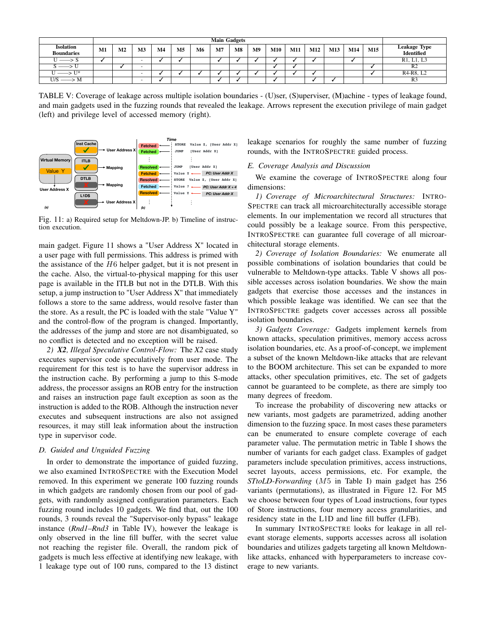|                                       |    | <b>Main Gadgets</b> |                |               |                |    |                |           |    |     |     |     |     |     |     |                                                  |
|---------------------------------------|----|---------------------|----------------|---------------|----------------|----|----------------|-----------|----|-----|-----|-----|-----|-----|-----|--------------------------------------------------|
| <b>Isolation</b><br><b>Boundaries</b> | M1 | M <sub>2</sub>      | M <sub>3</sub> | $\mathbf{M}4$ | M <sub>5</sub> | M6 | M <sub>7</sub> | <b>M8</b> | M9 | M10 | M11 | M12 | M13 | M14 | M15 | <b>Leakage Type</b><br>Identified                |
| $U \longrightarrow S$                 |    |                     |                |               |                |    |                |           |    |     |     |     |     |     |     | R <sub>1</sub> , L <sub>1</sub> , L <sub>3</sub> |
| $S \longrightarrow U$                 |    |                     |                |               |                |    |                |           |    |     |     |     |     |     |     | R <sub>2</sub>                                   |
| $II \longrightarrow II^*$             |    |                     |                |               |                |    |                |           |    |     |     |     |     |     |     | R <sub>4</sub> -R <sub>8</sub> , L <sub>2</sub>  |
| $U/S \longrightarrow M$               |    |                     |                |               |                |    |                |           |    |     |     |     |     |     |     | R <sub>3</sub>                                   |

TABLE V: Coverage of leakage across multiple isolation boundaries - (U)ser, (S)uperviser, (M)achine - types of leakage found, and main gadgets used in the fuzzing rounds that revealed the leakage. Arrows represent the execution privilege of main gadget (left) and privilege level of accessed memory (right).



Fig. 11: a) Required setup for Meltdown-JP. b) Timeline of instruction execution.

main gadget. Figure 11 shows a "User Address X" located in a user page with full permissions. This address is primed with the assistance of the  $H6$  helper gadget, but it is not present in the cache. Also, the virtual-to-physical mapping for this user page is available in the ITLB but not in the DTLB. With this setup, a jump instruction to "User Address X" that immediately follows a store to the same address, would resolve faster than the store. As a result, the PC is loaded with the stale "Value Y" and the control-flow of the program is changed. Importantly, the addresses of the jump and store are not disambiguated, so no conflict is detected and no exception will be raised.

*2) X2, Illegal Speculative Control-Flow:* The *X2* case study executes supervisor code speculatively from user mode. The requirement for this test is to have the supervisor address in the instruction cache. By performing a jump to this S-mode address, the processor assigns an ROB entry for the instruction and raises an instruction page fault exception as soon as the instruction is added to the ROB. Although the instruction never executes and subsequent instructions are also not assigned resources, it may still leak information about the instruction type in supervisor code.

#### *D. Guided and Unguided Fuzzing*

In order to demonstrate the importance of guided fuzzing, we also examined INTROSPECTRE with the Execution Model removed. In this experiment we generate 100 fuzzing rounds in which gadgets are randomly chosen from our pool of gadgets, with randomly assigned configuration parameters. Each fuzzing round includes 10 gadgets. We find that, out the 100 rounds, 3 rounds reveal the "Supervisor-only bypass" leakage instance (*Rnd1–Rnd3* in Table IV), however the leakage is only observed in the line fill buffer, with the secret value not reaching the register file. Overall, the random pick of gadgets is much less effective at identifying new leakage, with 1 leakage type out of 100 runs, compared to the 13 distinct leakage scenarios for roughly the same number of fuzzing rounds, with the INTROSPECTRE guided process.

# *E. Coverage Analysis and Discussion*

We examine the coverage of INTROSPECTRE along four dimensions:

*1) Coverage of Microarchitectural Structures:* INTRO-SPECTRE can track all microarchitecturally accessible storage elements. In our implementation we record all structures that could possibly be a leakage source. From this perspective, INTROSPECTRE can guarantee full coverage of all microarchitectural storage elements.

*2) Coverage of Isolation Boundaries:* We enumerate all possible combinations of isolation boundaries that could be vulnerable to Meltdown-type attacks. Table V shows all possible accesses across isolation boundaries. We show the main gadgets that exercise those accesses and the instances in which possible leakage was identified. We can see that the INTROSPECTRE gadgets cover accesses across all possible isolation boundaries.

*3) Gadgets Coverage:* Gadgets implement kernels from known attacks, speculation primitives, memory access across isolation boundaries, etc. As a proof-of-concept, we implement a subset of the known Meltdown-like attacks that are relevant to the BOOM architecture. This set can be expanded to more attacks, other speculation primitives, etc. The set of gadgets cannot be guaranteed to be complete, as there are simply too many degrees of freedom.

To increase the probability of discovering new attacks or new variants, most gadgets are parametrized, adding another dimension to the fuzzing space. In most cases these parameters can be enumerated to ensure complete coverage of each parameter value. The permutation metric in Table I shows the number of variants for each gadget class. Examples of gadget parameters include speculation primitives, access instructions, secret layouts, access permissions, etc. For example, the *STtoLD-Forwarding* (M5 in Table I) main gadget has 256 variants (permutations), as illustrated in Figure 12. For M5 we choose between four types of Load instructions, four types of Store instructions, four memory access granularities, and residency state in the L1D and line fill buffer (LFB).

In summary INTROSPECTRE looks for leakage in all relevant storage elements, supports accesses across all isolation boundaries and utilizes gadgets targeting all known Meltdownlike attacks, enhanced with hyperparameters to increase coverage to new variants.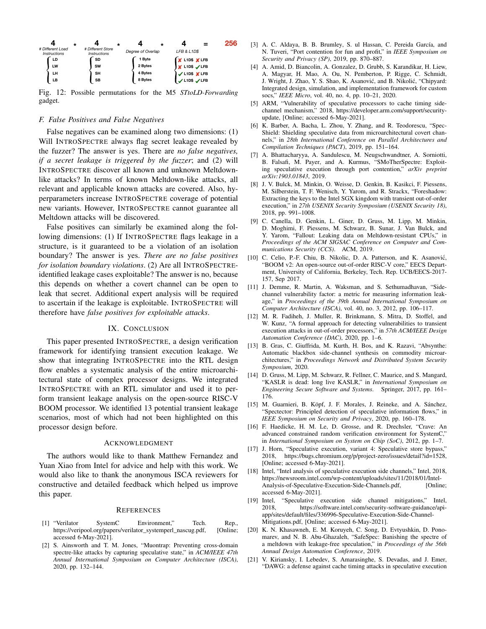

Fig. 12: Possible permutations for the M5 *STtoLD-Forwarding* gadget.

#### *F. False Positives and False Negatives*

False negatives can be examined along two dimensions: (1) Will INTROSPECTRE always flag secret leakage revealed by the fuzzer? The answer is yes. There are *no false negatives, if a secret leakage is triggered by the fuzzer*; and (2) will INTROSPECTRE discover all known and unknown Meltdownlike attacks? In terms of known Meltdown-like attacks, all relevant and applicable known attacks are covered. Also, hyperparameters increase INTROSPECTRE coverage of potential new variants. However, INTROSPECTRE cannot guarantee all Meltdown attacks will be discovered.

*fferent Load*  **FFRASH EVALUATION SURFACE CONTROLS (1998)**<br> **FFRASH EVALUATION SURFACE CONTROLS (2008) FFRASH EVALUATION SURFACE STORE 2008**<br> **FFRASH EVALUATION SURFACE CONTROLS (2008) FFRASH EXAMIN DEPARTEMENT A AND DESCRIPTION A C** False positives can similarly be examined along the following dimensions: (1) If INTROSPECTRE flags leakage in a structure, is it guaranteed to be a violation of an isolation boundary? The answer is yes. *There are no false positives for isolation boundary violations*. (2) Are all INTROSPECTREidentified leakage cases exploitable? The answer is no, because this depends on whether a covert channel can be open to leak that secret. Additional expert analysis will be required to ascertain if the leakage is exploitable. INTROSPECTRE will therefore have *false positives for exploitable attacks*.

#### IX. CONCLUSION

This paper presented INTROSPECTRE, a design verification framework for identifying transient execution leakage. We show that integrating INTROSPECTRE into the RTL design flow enables a systematic analysis of the entire microarchitectural state of complex processor designs. We integrated INTROSPECTRE with an RTL simulator and used it to perform transient leakage analysis on the open-source RISC-V BOOM processor. We identified 13 potential transient leakage scenarios, most of which had not been highlighted on this processor design before.

#### ACKNOWLEDGMENT

The authors would like to thank Matthew Fernandez and Yuan Xiao from Intel for advice and help with this work. We would also like to thank the anonymous ISCA reviewers for constructive and detailed feedback which helped us improve this paper.

#### **REFERENCES**

- [1] "Verilator SystemC Environment," Tech. Rep., https://veripool.org/papers/verilator\_systemperl\_nascug.pdf, [Online; accessed 6-May-2021].
- [2] S. Ainsworth and T. M. Jones, "Muontrap: Preventing cross-domain spectre-like attacks by capturing speculative state," in *ACM/IEEE 47th Annual International Symposium on Computer Architecture (ISCA)*, 2020, pp. 132–144.
- [3] A. C. Aldaya, B. B. Brumley, S. ul Hassan, C. Pereida García, and N. Tuveri, "Port contention for fun and profit," in *IEEE Symposium on Security and Privacy (SP)*, 2019, pp. 870–887.
- [4] A. Amid, D. Biancolin, A. Gonzalez, D. Grubb, S. Karandikar, H. Liew, A. Magyar, H. Mao, A. Ou, N. Pemberton, P. Rigge, C. Schmidt, J. Wright, J. Zhao, Y. S. Shao, K. Asanović, and B. Nikolić, "Chipyard: Integrated design, simulation, and implementation framework for custom socs," *IEEE Micro*, vol. 40, no. 4, pp. 10–21, 2020.
- [5] ARM, "Vulnerability of speculative processors to cache timing sidechannel mechanism," 2018, https://developer.arm.com/support/securityupdate, [Online; accessed 6-May-2021].
- [6] K. Barber, A. Bacha, L. Zhou, Y. Zhang, and R. Teodorescu, "Spec-Shield: Shielding speculative data from microarchitectural covert channels," in *28th International Conference on Parallel Architectures and Compilation Techniques (PACT)*, 2019, pp. 151–164.
- [7] A. Bhattacharyya, A. Sandulescu, M. Neugschwandtner, A. Sorniotti, B. Falsafi, M. Payer, and A. Kurmus, "SMoTherSpectre: Exploiting speculative execution through port contention," *arXiv preprint arXiv:1903.01843*, 2019.
- [8] J. V. Bulck, M. Minkin, O. Weisse, D. Genkin, B. Kasikci, F. Piessens, M. Silberstein, T. F. Wenisch, Y. Yarom, and R. Strackx, "Foreshadow: Extracting the keys to the Intel SGX kingdom with transient out-of-order execution," in *27th USENIX Security Symposium (USENIX Security 18)*, 2018, pp. 991–1008.
- [9] C. Canella, D. Genkin, L. Giner, D. Gruss, M. Lipp, M. Minkin, D. Moghimi, F. Piessens, M. Schwarz, B. Sunar, J. Van Bulck, and Y. Yarom, "Fallout: Leaking data on Meltdown-resistant CPUs," in *Proceedings of the ACM SIGSAC Conference on Computer and Communications Security (CCS)*. ACM, 2019.
- [10] C. Celio, P.-F. Chiu, B. Nikolic, D. A. Patterson, and K. Asanović, "BOOM v2: An open-source out-of-order RISC-V core," EECS Department, University of California, Berkeley, Tech. Rep. UCB/EECS-2017- 157, Sep 2017.
- [11] J. Demme, R. Martin, A. Waksman, and S. Sethumadhavan, "Sidechannel vulnerability factor: a metric for measuring information leakage," in *Proceedings of the 39th Annual International Symposium on Computer Architecture (ISCA)*, vol. 40, no. 3, 2012, pp. 106–117.
- [12] M. R. Fadiheh, J. Muller, R. Brinkmann, S. Mitra, D. Stoffel, and W. Kunz, "A formal approach for detecting vulnerabilities to transient execution attacks in out-of-order processors," in *57th ACM/IEEE Design Automation Conference (DAC)*, 2020, pp. 1–6.
- [13] B. Gras, C. Giuffrida, M. Kurth, H. Bos, and K. Razavi, "Absynthe: Automatic blackbox side-channel synthesis on commodity microarchitectures," in *Proceedings Network and Distributed System Security Symposium*, 2020.
- [14] D. Gruss, M. Lipp, M. Schwarz, R. Fellner, C. Maurice, and S. Mangard, "KASLR is dead: long live KASLR," in *International Symposium on Engineering Secure Software and Systems*. Springer, 2017, pp. 161– 176.
- [15] M. Guarnieri, B. Köpf, J. F. Morales, J. Reineke, and A. Sánchez, "Spectector: Principled detection of speculative information flows," in *IEEE Symposium on Security and Privacy*, 2020, pp. 160–178.
- [16] F. Haedicke, H. M. Le, D. Grosse, and R. Drechsler, "Crave: An advanced constrained random verification environment for SystemC," in *International Symposium on System on Chip (SoC)*, 2012, pp. 1–7.
- [17] J. Horn, "Speculative execution, variant 4: Speculative store bypass," 2018, https://bugs.chromium.org/p/project-zero/issues/detail?id=1528, [Online; accessed 6-May-2021].
- [18] Intel, "Intel analysis of speculative execution side channels," Intel, 2018, https://newsroom.intel.com/wp-content/uploads/sites/11/2018/01/Intel-Analysis-of-Speculative-Execution-Side-Channels.pdf, [Online; accessed 6-May-2021].
- [19] Intel, "Speculative execution side channel mitigations," Intel, 2018, https://software.intel.com/security-software-guidance/apiapp/sites/default/files/336996-Speculative-Execution-Side-Channel-Mitigations.pdf, [Online; accessed 6-May-2021].
- [20] K. N. Khasawneh, E. M. Koruyeh, C. Song, D. Evtyushkin, D. Ponomarev, and N. B. Abu-Ghazaleh, "SafeSpec: Banishing the spectre of a meltdown with leakage-free speculation," in *Proceedings of the 56th Annual Design Automation Conference*, 2019.
- [21] V. Kiriansky, I. Lebedev, S. Amarasinghe, S. Devadas, and J. Emer, "DAWG: a defense against cache timing attacks in speculative execution